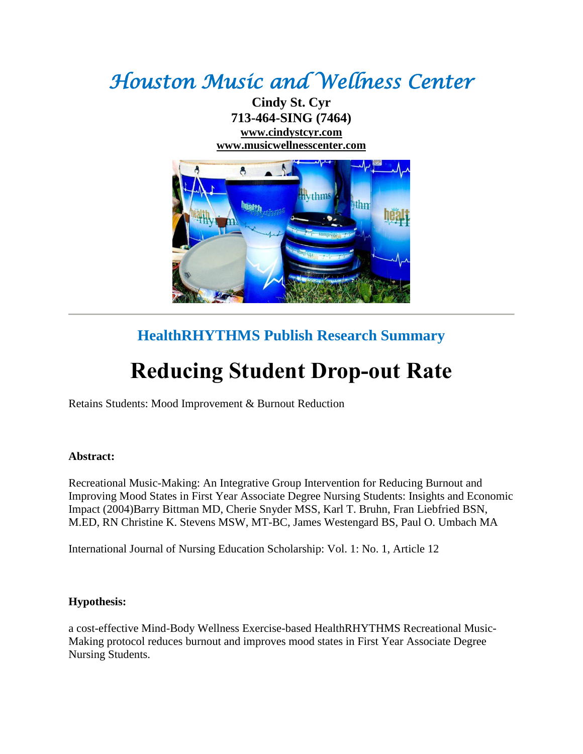## *Houston Music and Wellness Center*

**Cindy St. Cyr 713-464-SING (7464) [www.cindystcyr.com](http://www.cindystcyr.com/) [www.musicwellnesscenter.com](http://www.musicwellnesscenter.com/)**



### **HealthRHYTHMS Publish Research Summary**

# **Reducing Student Drop-out Rate**

Retains Students: Mood Improvement & Burnout Reduction

#### **Abstract:**

Recreational Music-Making: An Integrative Group Intervention for Reducing Burnout and Improving Mood States in First Year Associate Degree Nursing Students: Insights and Economic Impact (2004)Barry Bittman MD, Cherie Snyder MSS, Karl T. Bruhn, Fran Liebfried BSN, M.ED, RN Christine K. Stevens MSW, MT-BC, James Westengard BS, Paul O. Umbach MA

International Journal of Nursing Education Scholarship: Vol. 1: No. 1, Article 12

#### **Hypothesis:**

a cost-effective Mind-Body Wellness Exercise-based HealthRHYTHMS Recreational Music-Making protocol reduces burnout and improves mood states in First Year Associate Degree Nursing Students.